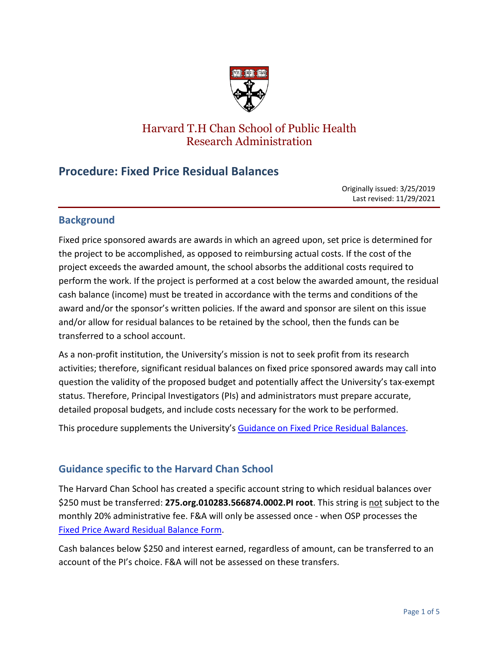

# Harvard T.H Chan School of Public Health Research Administration

# **Procedure: Fixed Price Residual Balances**

Originally issued: 3/25/2019 Last revised: 11/29/2021

# **Background**

Fixed price sponsored awards are awards in which an agreed upon, set price is determined for the project to be accomplished, as opposed to reimbursing actual costs. If the cost of the project exceeds the awarded amount, the school absorbs the additional costs required to perform the work. If the project is performed at a cost below the awarded amount, the residual cash balance (income) must be treated in accordance with the terms and conditions of the award and/or the sponsor's written policies. If the award and sponsor are silent on this issue and/or allow for residual balances to be retained by the school, then the funds can be transferred to a school account.

As a non-profit institution, the University's mission is not to seek profit from its research activities; therefore, significant residual balances on fixed price sponsored awards may call into question the validity of the proposed budget and potentially affect the University's tax-exempt status. Therefore, Principal Investigators (PIs) and administrators must prepare accurate, detailed proposal budgets, and include costs necessary for the work to be performed.

This procedure supplements the University's [Guidance on Fixed Price Residual Balances.](https://osp.finance.harvard.edu/guidance-fixed-price-sponsored-awards)

# **Guidance specific to the Harvard Chan School**

The Harvard Chan School has created a specific account string to which residual balances over \$250 must be transferred: **275.org.010283.566874.0002.PI root**. This string is not subject to the monthly 20% administrative fee. F&A will only be assessed once - when OSP processes the [Fixed Price Award Residual Balance Form.](https://osp.finance.harvard.edu/files/fixed_price_award_residual_balance_transfer_form_july_2021.pdf)

Cash balances below \$250 and interest earned, regardless of amount, can be transferred to an account of the PI's choice. F&A will not be assessed on these transfers.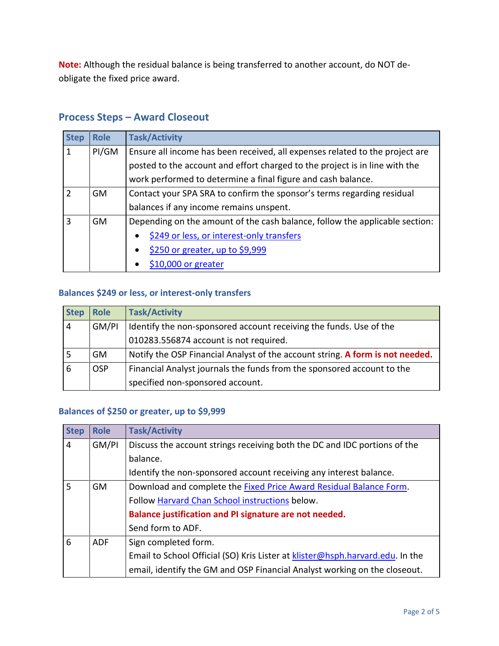**Note:** Although the residual balance is being transferred to another account, do NOT deobligate the fixed price award.

# **Process Steps – Award Closeout**

| <b>Step</b>    | <b>Role</b> | <b>Task/Activity</b>                                                         |
|----------------|-------------|------------------------------------------------------------------------------|
| 1              | PI/GM       | Ensure all income has been received, all expenses related to the project are |
|                |             | posted to the account and effort charged to the project is in line with the  |
|                |             | work performed to determine a final figure and cash balance.                 |
| $\mathcal{P}$  | <b>GM</b>   | Contact your SPA SRA to confirm the sponsor's terms regarding residual       |
|                |             | balances if any income remains unspent.                                      |
| $\overline{3}$ | <b>GM</b>   | Depending on the amount of the cash balance, follow the applicable section:  |
|                |             | \$249 or less, or interest-only transfers<br>$\bullet$                       |
|                |             | \$250 or greater, up to \$9,999                                              |
|                |             | $$10,000$ or greater                                                         |

# <span id="page-1-0"></span>**Balances \$249 or less, or interest-only transfers**

| <b>Step</b>    | <b>Role</b> | <b>Task/Activity</b>                                                          |
|----------------|-------------|-------------------------------------------------------------------------------|
| $\overline{4}$ | GM/PI       | Identify the non-sponsored account receiving the funds. Use of the            |
|                |             | 010283.556874 account is not required.                                        |
|                | GM.         | Notify the OSP Financial Analyst of the account string. A form is not needed. |
| 6              | <b>OSP</b>  | Financial Analyst journals the funds from the sponsored account to the        |
|                |             | specified non-sponsored account.                                              |

# <span id="page-1-1"></span>**Balances of \$250 or greater, up to \$9,999**

| <b>Step</b>    | <b>Role</b> | <b>Task/Activity</b>                                                          |
|----------------|-------------|-------------------------------------------------------------------------------|
| $\overline{4}$ | GM/PI       | Discuss the account strings receiving both the DC and IDC portions of the     |
|                |             | balance.                                                                      |
|                |             | Identify the non-sponsored account receiving any interest balance.            |
| 5              | GM.         | Download and complete the <b>Fixed Price Award Residual Balance Form.</b>     |
|                |             | Follow Harvard Chan School instructions below.                                |
|                |             | Balance justification and PI signature are not needed.                        |
|                |             | Send form to ADF.                                                             |
| 6              | <b>ADF</b>  | Sign completed form.                                                          |
|                |             | Email to School Official (SO) Kris Lister at klister@hsph.harvard.edu. In the |
|                |             | email, identify the GM and OSP Financial Analyst working on the closeout.     |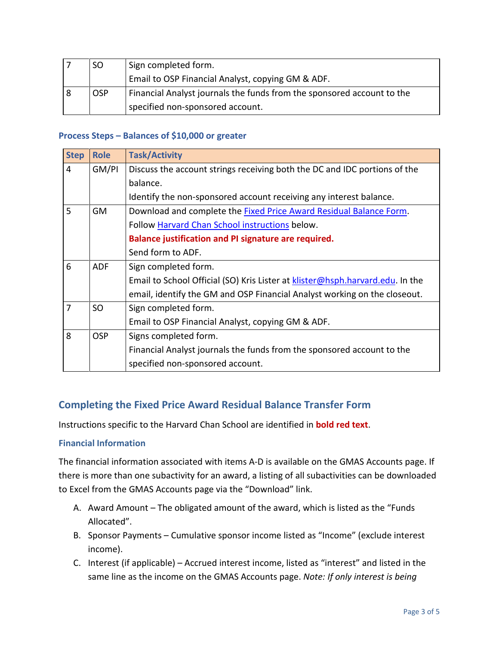| <b>SO</b>  | Sign completed form.                                                   |
|------------|------------------------------------------------------------------------|
|            | Email to OSP Financial Analyst, copying GM & ADF.                      |
| <b>OSP</b> | Financial Analyst journals the funds from the sponsored account to the |
|            | specified non-sponsored account.                                       |

#### <span id="page-2-0"></span>**Process Steps – Balances of \$10,000 or greater**

| <b>Step</b>    | <b>Role</b> | <b>Task/Activity</b>                                                          |
|----------------|-------------|-------------------------------------------------------------------------------|
| $\overline{4}$ | GM/PI       | Discuss the account strings receiving both the DC and IDC portions of the     |
|                |             | balance.                                                                      |
|                |             | Identify the non-sponsored account receiving any interest balance.            |
| 5              | GM          | Download and complete the <b>Fixed Price Award Residual Balance Form</b> .    |
|                |             | Follow Harvard Chan School instructions below.                                |
|                |             | Balance justification and PI signature are required.                          |
|                |             | Send form to ADF.                                                             |
| 6              | <b>ADF</b>  | Sign completed form.                                                          |
|                |             | Email to School Official (SO) Kris Lister at klister@hsph.harvard.edu. In the |
|                |             | email, identify the GM and OSP Financial Analyst working on the closeout.     |
| 7              | <b>SO</b>   | Sign completed form.                                                          |
|                |             | Email to OSP Financial Analyst, copying GM & ADF.                             |
| 8              | <b>OSP</b>  | Signs completed form.                                                         |
|                |             | Financial Analyst journals the funds from the sponsored account to the        |
|                |             | specified non-sponsored account.                                              |

# <span id="page-2-1"></span>**Completing the Fixed Price Award Residual Balance Transfer Form**

Instructions specific to the Harvard Chan School are identified in **bold red text**.

#### **Financial Information**

The financial information associated with items A-D is available on the GMAS Accounts page. If there is more than one subactivity for an award, a listing of all subactivities can be downloaded to Excel from the GMAS Accounts page via the "Download" link.

- A. Award Amount The obligated amount of the award, which is listed as the "Funds Allocated".
- B. Sponsor Payments Cumulative sponsor income listed as "Income" (exclude interest income).
- C. Interest (if applicable) Accrued interest income, listed as "interest" and listed in the same line as the income on the GMAS Accounts page. *Note: If only interest is being*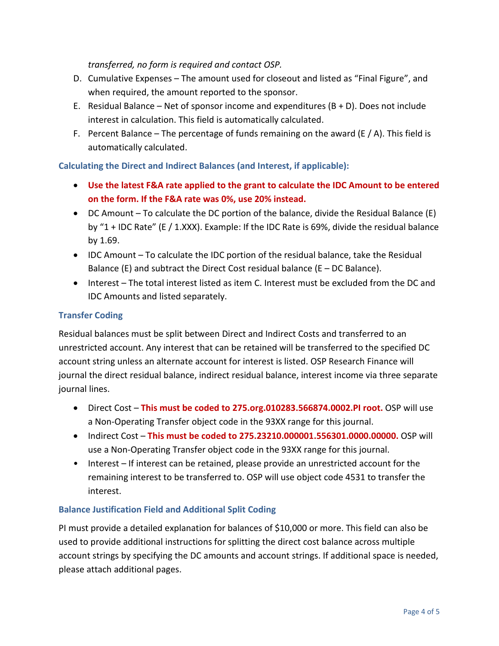*transferred, no form is required and contact OSP.*

- D. Cumulative Expenses The amount used for closeout and listed as "Final Figure", and when required, the amount reported to the sponsor.
- E. Residual Balance Net of sponsor income and expenditures  $(B + D)$ . Does not include interest in calculation. This field is automatically calculated.
- F. Percent Balance The percentage of funds remaining on the award (E  $/$  A). This field is automatically calculated.

**Calculating the Direct and Indirect Balances (and Interest, if applicable):** 

- **Use the latest F&A rate applied to the grant to calculate the IDC Amount to be entered on the form. If the F&A rate was 0%, use 20% instead.**
- DC Amount To calculate the DC portion of the balance, divide the Residual Balance (E) by "1 + IDC Rate" (E / 1.XXX). Example: If the IDC Rate is 69%, divide the residual balance by 1.69.
- IDC Amount To calculate the IDC portion of the residual balance, take the Residual Balance (E) and subtract the Direct Cost residual balance ( $E - DC$  Balance).
- Interest The total interest listed as item C. Interest must be excluded from the DC and IDC Amounts and listed separately.

## **Transfer Coding**

Residual balances must be split between Direct and Indirect Costs and transferred to an unrestricted account. Any interest that can be retained will be transferred to the specified DC account string unless an alternate account for interest is listed. OSP Research Finance will journal the direct residual balance, indirect residual balance, interest income via three separate journal lines.

- Direct Cost **This must be coded to 275.org.010283.566874.0002.PI root.** OSP will use a Non-Operating Transfer object code in the 93XX range for this journal.
- Indirect Cost **This must be coded to 275.23210.000001.556301.0000.00000.** OSP will use a Non-Operating Transfer object code in the 93XX range for this journal.
- Interest If interest can be retained, please provide an unrestricted account for the remaining interest to be transferred to. OSP will use object code 4531 to transfer the interest.

## **Balance Justification Field and Additional Split Coding**

PI must provide a detailed explanation for balances of \$10,000 or more. This field can also be used to provide additional instructions for splitting the direct cost balance across multiple account strings by specifying the DC amounts and account strings. If additional space is needed, please attach additional pages.